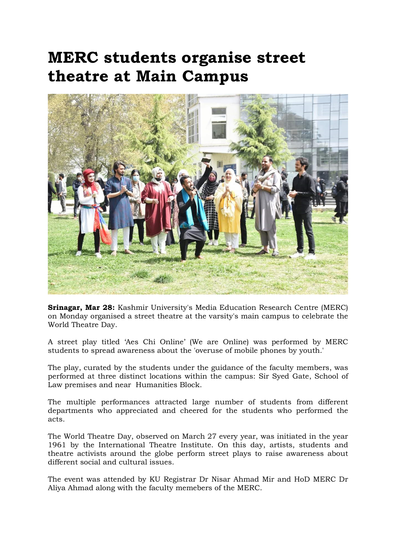## MERC students organise street theatre at Main Campus



Srinagar, Mar 28: Kashmir University's Media Education Research Centre (MERC) on Monday organised a street theatre at the varsity's main campus to celebrate the World Theatre Day.

A street play titled 'Aes Chi Online' (We are Online) was performed by MERC students to spread awareness about the 'overuse of mobile phones by youth.'

The play, curated by the students under the guidance of the faculty members, was performed at three distinct locations within the campus: Sir Syed Gate, School of Law premises and near Humanities Block.

The multiple performances attracted large number of students from different departments who appreciated and cheered for the students who performed the acts.

The World Theatre Day, observed on March 27 every year, was initiated in the year 1961 by the International Theatre Institute. On this day, artists, students and theatre activists around the globe perform street plays to raise awareness about different social and cultural issues.

The event was attended by KU Registrar Dr Nisar Ahmad Mir and HoD MERC Dr Aliya Ahmad along with the faculty memebers of the MERC.